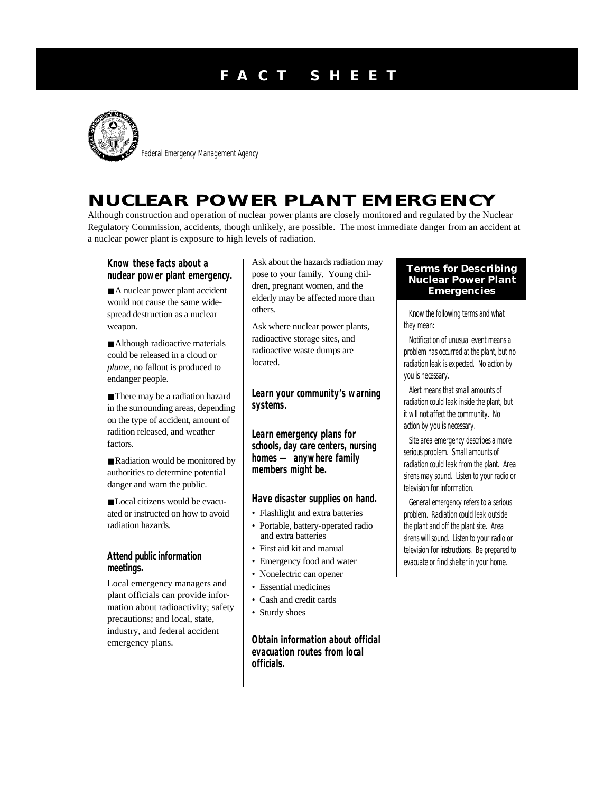# **F A C T S H E E T**



Federal Emergency Management Agency

## **NUCLEAR POWER PLANT EMERGENCY**

Although construction and operation of nuclear power plants are closely monitored and regulated by the Nuclear Regulatory Commission, accidents, though unlikely, are possible. The most immediate danger from an accident at a nuclear power plant is exposure to high levels of radiation.

**Know these facts about a nuclear power plant emergency.**

■ A nuclear power plant accident would not cause the same widespread destruction as a nuclear weapon.

■ Although radioactive materials could be released in a cloud or *plume*, no fallout is produced to endanger people.

■ There may be a radiation hazard in the surrounding areas, depending on the type of accident, amount of radition released, and weather factors.

■ Radiation would be monitored by authorities to determine potential danger and warn the public.

■ Local citizens would be evacuated or instructed on how to avoid radiation hazards.

#### **Attend public information meetings.**

Local emergency managers and plant officials can provide information about radioactivity; safety precautions; and local, state, industry, and federal accident emergency plans.

Ask about the hazards radiation may pose to your family. Young children, pregnant women, and the elderly may be affected more than others.

Ask where nuclear power plants, radioactive storage sites, and radioactive waste dumps are located.

**Learn your community's warning systems.**

**Learn emergency plans for schools, day care centers, nursing homes — anywhere family members might be.**

**Have disaster supplies on hand.**

- Flashlight and extra batteries
- Portable, battery-operated radio and extra batteries
- First aid kit and manual
- Emergency food and water
- Nonelectric can opener
- Essential medicines
- Cash and credit cards
- Sturdy shoes

**Obtain information about official evacuation routes from local officials.**

#### **Terms for Describing Nuclear Power Plant Emergencies**

Know the following terms and what they mean:

*Notification of unusual event* means a problem has occurred at the plant, but no radiation leak is expected. No action by you is necessary.

*Alert* means that small amounts of radiation could leak inside the plant, but it will not affect the community. No action by you is necessary.

*Site area emergency* describes a more serious problem. Small amounts of radiation could leak from the plant. Area sirens may sound. Listen to your radio or television for information.

*General emergency* refers to a serious problem. Radiation could leak outside the plant and off the plant site. Area sirens will sound. Listen to your radio or television for instructions. Be prepared to evacuate or find shelter in your home.